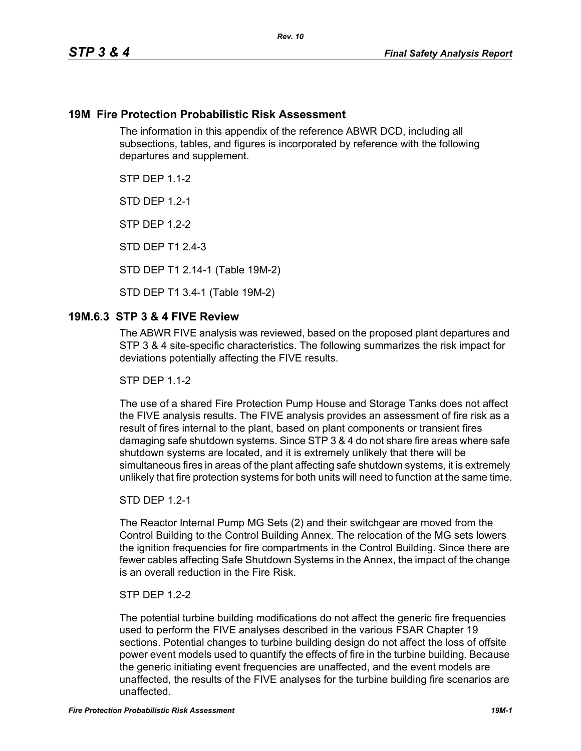### **19M Fire Protection Probabilistic Risk Assessment**

The information in this appendix of the reference ABWR DCD, including all subsections, tables, and figures is incorporated by reference with the following departures and supplement.

**STP DFP 1 1-2** 

**STD DFP 12-1** 

STP DEP 1.2-2

STD DEP T1 2.4-3

STD DEP T1 2.14-1 (Table 19M-2)

STD DEP T1 3.4-1 (Table 19M-2)

### **19M.6.3 STP 3 & 4 FIVE Review**

The ABWR FIVE analysis was reviewed, based on the proposed plant departures and STP 3 & 4 site-specific characteristics. The following summarizes the risk impact for deviations potentially affecting the FIVE results.

**STP DFP 1 1-2** 

The use of a shared Fire Protection Pump House and Storage Tanks does not affect the FIVE analysis results. The FIVE analysis provides an assessment of fire risk as a result of fires internal to the plant, based on plant components or transient fires damaging safe shutdown systems. Since STP 3 & 4 do not share fire areas where safe shutdown systems are located, and it is extremely unlikely that there will be simultaneous fires in areas of the plant affecting safe shutdown systems, it is extremely unlikely that fire protection systems for both units will need to function at the same time.

#### STD DEP 1.2-1

The Reactor Internal Pump MG Sets (2) and their switchgear are moved from the Control Building to the Control Building Annex. The relocation of the MG sets lowers the ignition frequencies for fire compartments in the Control Building. Since there are fewer cables affecting Safe Shutdown Systems in the Annex, the impact of the change is an overall reduction in the Fire Risk.

#### STP DEP 1.2-2

The potential turbine building modifications do not affect the generic fire frequencies used to perform the FIVE analyses described in the various FSAR Chapter 19 sections. Potential changes to turbine building design do not affect the loss of offsite power event models used to quantify the effects of fire in the turbine building. Because the generic initiating event frequencies are unaffected, and the event models are unaffected, the results of the FIVE analyses for the turbine building fire scenarios are unaffected.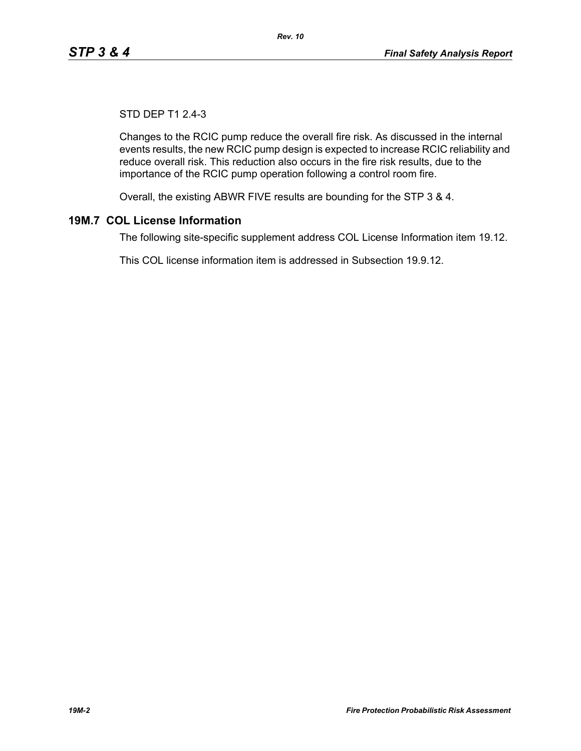# STD DEP T1 2.4-3

Changes to the RCIC pump reduce the overall fire risk. As discussed in the internal events results, the new RCIC pump design is expected to increase RCIC reliability and reduce overall risk. This reduction also occurs in the fire risk results, due to the importance of the RCIC pump operation following a control room fire.

Overall, the existing ABWR FIVE results are bounding for the STP 3 & 4.

# **19M.7 COL License Information**

The following site-specific supplement address COL License Information item 19.12.

This COL license information item is addressed in Subsection 19.9.12.